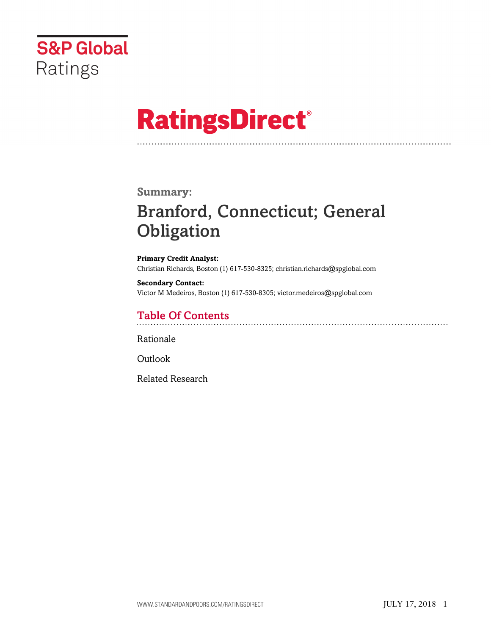

# **RatingsDirect®**

### **Summary:**

# Branford, Connecticut; General **Obligation**

**Primary Credit Analyst:** Christian Richards, Boston (1) 617-530-8325; christian.richards@spglobal.com

**Secondary Contact:** Victor M Medeiros, Boston (1) 617-530-8305; victor.medeiros@spglobal.com

# Table Of Contents

[Rationale](#page-1-0)

[Outlook](#page-5-0)

[Related Research](#page-5-1)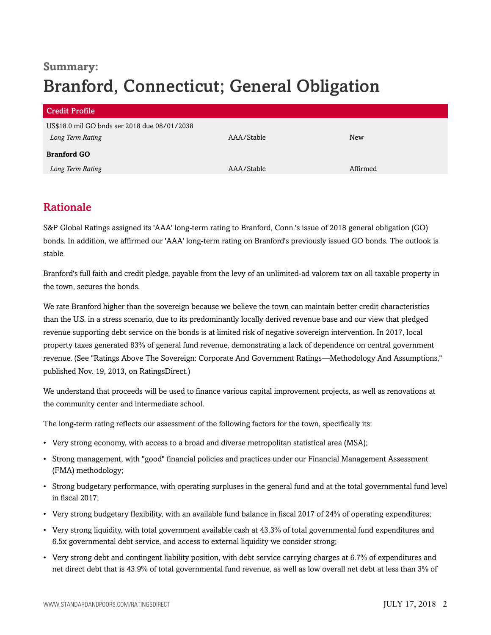# **Summary:** Branford, Connecticut; General Obligation

| <b>Credit Profile</b>                        |            |            |
|----------------------------------------------|------------|------------|
| US\$18.0 mil GO bnds ser 2018 due 08/01/2038 |            |            |
| Long Term Rating                             | AAA/Stable | <b>New</b> |
| <b>Branford GO</b>                           |            |            |
| Long Term Rating                             | AAA/Stable | Affirmed   |

## <span id="page-1-0"></span>Rationale

S&P Global Ratings assigned its 'AAA' long-term rating to Branford, Conn.'s issue of 2018 general obligation (GO) bonds. In addition, we affirmed our 'AAA' long-term rating on Branford's previously issued GO bonds. The outlook is stable.

Branford's full faith and credit pledge, payable from the levy of an unlimited-ad valorem tax on all taxable property in the town, secures the bonds.

We rate Branford higher than the sovereign because we believe the town can maintain better credit characteristics than the U.S. in a stress scenario, due to its predominantly locally derived revenue base and our view that pledged revenue supporting debt service on the bonds is at limited risk of negative sovereign intervention. In 2017, local property taxes generated 83% of general fund revenue, demonstrating a lack of dependence on central government revenue. (See "Ratings Above The Sovereign: Corporate And Government Ratings—Methodology And Assumptions," published Nov. 19, 2013, on RatingsDirect.)

We understand that proceeds will be used to finance various capital improvement projects, as well as renovations at the community center and intermediate school.

The long-term rating reflects our assessment of the following factors for the town, specifically its:

- Very strong economy, with access to a broad and diverse metropolitan statistical area (MSA);
- Strong management, with "good" financial policies and practices under our Financial Management Assessment (FMA) methodology;
- Strong budgetary performance, with operating surpluses in the general fund and at the total governmental fund level in fiscal 2017;
- Very strong budgetary flexibility, with an available fund balance in fiscal 2017 of 24% of operating expenditures;
- Very strong liquidity, with total government available cash at 43.3% of total governmental fund expenditures and 6.5x governmental debt service, and access to external liquidity we consider strong;
- Very strong debt and contingent liability position, with debt service carrying charges at 6.7% of expenditures and net direct debt that is 43.9% of total governmental fund revenue, as well as low overall net debt at less than 3% of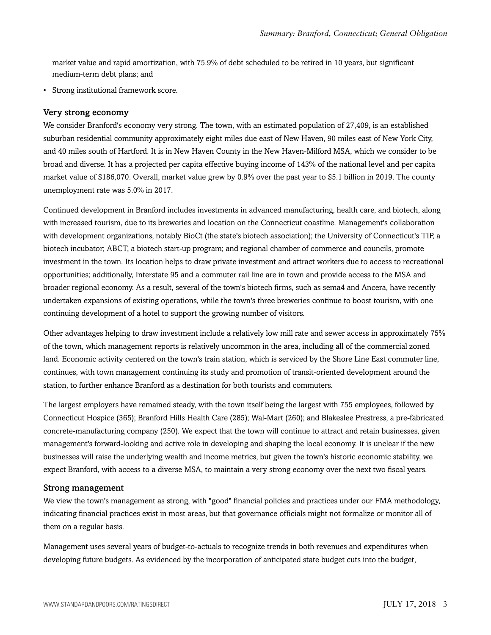market value and rapid amortization, with 75.9% of debt scheduled to be retired in 10 years, but significant medium-term debt plans; and

• Strong institutional framework score.

#### Very strong economy

We consider Branford's economy very strong. The town, with an estimated population of 27,409, is an established suburban residential community approximately eight miles due east of New Haven, 90 miles east of New York City, and 40 miles south of Hartford. It is in New Haven County in the New Haven-Milford MSA, which we consider to be broad and diverse. It has a projected per capita effective buying income of 143% of the national level and per capita market value of \$186,070. Overall, market value grew by 0.9% over the past year to \$5.1 billion in 2019. The county unemployment rate was 5.0% in 2017.

Continued development in Branford includes investments in advanced manufacturing, health care, and biotech, along with increased tourism, due to its breweries and location on the Connecticut coastline. Management's collaboration with development organizations, notably BioCt (the state's biotech association); the University of Connecticut's TIP, a biotech incubator; ABCT, a biotech start-up program; and regional chamber of commerce and councils, promote investment in the town. Its location helps to draw private investment and attract workers due to access to recreational opportunities; additionally, Interstate 95 and a commuter rail line are in town and provide access to the MSA and broader regional economy. As a result, several of the town's biotech firms, such as sema4 and Ancera, have recently undertaken expansions of existing operations, while the town's three breweries continue to boost tourism, with one continuing development of a hotel to support the growing number of visitors.

Other advantages helping to draw investment include a relatively low mill rate and sewer access in approximately 75% of the town, which management reports is relatively uncommon in the area, including all of the commercial zoned land. Economic activity centered on the town's train station, which is serviced by the Shore Line East commuter line, continues, with town management continuing its study and promotion of transit-oriented development around the station, to further enhance Branford as a destination for both tourists and commuters.

The largest employers have remained steady, with the town itself being the largest with 755 employees, followed by Connecticut Hospice (365); Branford Hills Health Care (285); Wal-Mart (260); and Blakeslee Prestress, a pre-fabricated concrete-manufacturing company (250). We expect that the town will continue to attract and retain businesses, given management's forward-looking and active role in developing and shaping the local economy. It is unclear if the new businesses will raise the underlying wealth and income metrics, but given the town's historic economic stability, we expect Branford, with access to a diverse MSA, to maintain a very strong economy over the next two fiscal years.

#### Strong management

We view the town's management as strong, with "good" financial policies and practices under our FMA methodology, indicating financial practices exist in most areas, but that governance officials might not formalize or monitor all of them on a regular basis.

Management uses several years of budget-to-actuals to recognize trends in both revenues and expenditures when developing future budgets. As evidenced by the incorporation of anticipated state budget cuts into the budget,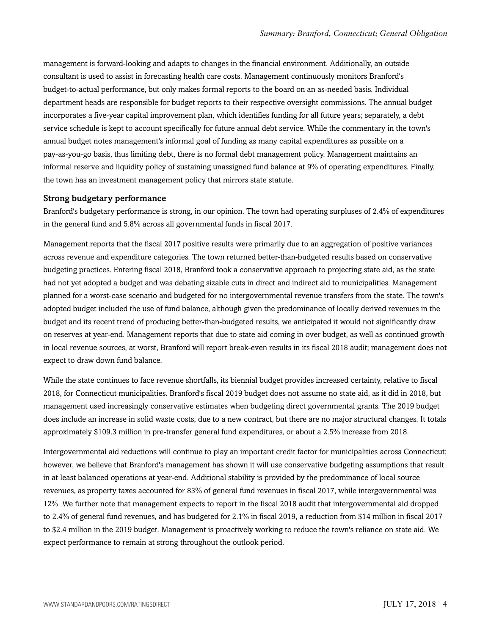management is forward-looking and adapts to changes in the financial environment. Additionally, an outside consultant is used to assist in forecasting health care costs. Management continuously monitors Branford's budget-to-actual performance, but only makes formal reports to the board on an as-needed basis. Individual department heads are responsible for budget reports to their respective oversight commissions. The annual budget incorporates a five-year capital improvement plan, which identifies funding for all future years; separately, a debt service schedule is kept to account specifically for future annual debt service. While the commentary in the town's annual budget notes management's informal goal of funding as many capital expenditures as possible on a pay-as-you-go basis, thus limiting debt, there is no formal debt management policy. Management maintains an informal reserve and liquidity policy of sustaining unassigned fund balance at 9% of operating expenditures. Finally, the town has an investment management policy that mirrors state statute.

#### Strong budgetary performance

Branford's budgetary performance is strong, in our opinion. The town had operating surpluses of 2.4% of expenditures in the general fund and 5.8% across all governmental funds in fiscal 2017.

Management reports that the fiscal 2017 positive results were primarily due to an aggregation of positive variances across revenue and expenditure categories. The town returned better-than-budgeted results based on conservative budgeting practices. Entering fiscal 2018, Branford took a conservative approach to projecting state aid, as the state had not yet adopted a budget and was debating sizable cuts in direct and indirect aid to municipalities. Management planned for a worst-case scenario and budgeted for no intergovernmental revenue transfers from the state. The town's adopted budget included the use of fund balance, although given the predominance of locally derived revenues in the budget and its recent trend of producing better-than-budgeted results, we anticipated it would not significantly draw on reserves at year-end. Management reports that due to state aid coming in over budget, as well as continued growth in local revenue sources, at worst, Branford will report break-even results in its fiscal 2018 audit; management does not expect to draw down fund balance.

While the state continues to face revenue shortfalls, its biennial budget provides increased certainty, relative to fiscal 2018, for Connecticut municipalities. Branford's fiscal 2019 budget does not assume no state aid, as it did in 2018, but management used increasingly conservative estimates when budgeting direct governmental grants. The 2019 budget does include an increase in solid waste costs, due to a new contract, but there are no major structural changes. It totals approximately \$109.3 million in pre-transfer general fund expenditures, or about a 2.5% increase from 2018.

Intergovernmental aid reductions will continue to play an important credit factor for municipalities across Connecticut; however, we believe that Branford's management has shown it will use conservative budgeting assumptions that result in at least balanced operations at year-end. Additional stability is provided by the predominance of local source revenues, as property taxes accounted for 83% of general fund revenues in fiscal 2017, while intergovernmental was 12%. We further note that management expects to report in the fiscal 2018 audit that intergovernmental aid dropped to 2.4% of general fund revenues, and has budgeted for 2.1% in fiscal 2019, a reduction from \$14 million in fiscal 2017 to \$2.4 million in the 2019 budget. Management is proactively working to reduce the town's reliance on state aid. We expect performance to remain at strong throughout the outlook period.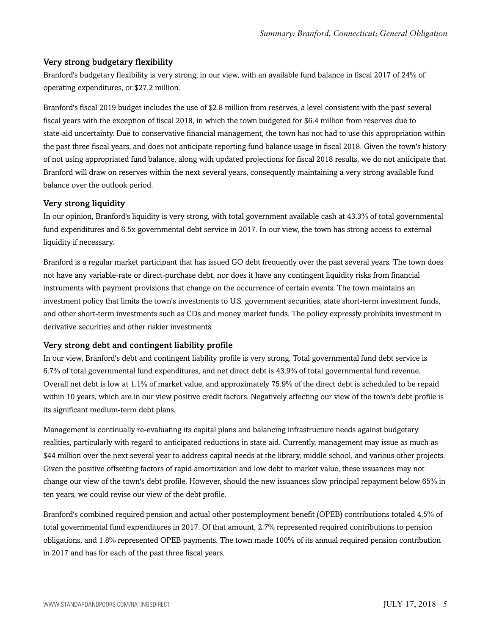#### Very strong budgetary flexibility

Branford's budgetary flexibility is very strong, in our view, with an available fund balance in fiscal 2017 of 24% of operating expenditures, or \$27.2 million.

Branford's fiscal 2019 budget includes the use of \$2.8 million from reserves, a level consistent with the past several fiscal years with the exception of fiscal 2018, in which the town budgeted for \$6.4 million from reserves due to state-aid uncertainty. Due to conservative financial management, the town has not had to use this appropriation within the past three fiscal years, and does not anticipate reporting fund balance usage in fiscal 2018. Given the town's history of not using appropriated fund balance, along with updated projections for fiscal 2018 results, we do not anticipate that Branford will draw on reserves within the next several years, consequently maintaining a very strong available fund balance over the outlook period.

#### Very strong liquidity

In our opinion, Branford's liquidity is very strong, with total government available cash at 43.3% of total governmental fund expenditures and 6.5x governmental debt service in 2017. In our view, the town has strong access to external liquidity if necessary.

Branford is a regular market participant that has issued GO debt frequently over the past several years. The town does not have any variable-rate or direct-purchase debt, nor does it have any contingent liquidity risks from financial instruments with payment provisions that change on the occurrence of certain events. The town maintains an investment policy that limits the town's investments to U.S. government securities, state short-term investment funds, and other short-term investments such as CDs and money market funds. The policy expressly prohibits investment in derivative securities and other riskier investments.

#### Very strong debt and contingent liability profile

In our view, Branford's debt and contingent liability profile is very strong. Total governmental fund debt service is 6.7% of total governmental fund expenditures, and net direct debt is 43.9% of total governmental fund revenue. Overall net debt is low at 1.1% of market value, and approximately 75.9% of the direct debt is scheduled to be repaid within 10 years, which are in our view positive credit factors. Negatively affecting our view of the town's debt profile is its significant medium-term debt plans.

Management is continually re-evaluating its capital plans and balancing infrastructure needs against budgetary realities, particularly with regard to anticipated reductions in state aid. Currently, management may issue as much as \$44 million over the next several year to address capital needs at the library, middle school, and various other projects. Given the positive offsetting factors of rapid amortization and low debt to market value, these issuances may not change our view of the town's debt profile. However, should the new issuances slow principal repayment below 65% in ten years, we could revise our view of the debt profile.

Branford's combined required pension and actual other postemployment benefit (OPEB) contributions totaled 4.5% of total governmental fund expenditures in 2017. Of that amount, 2.7% represented required contributions to pension obligations, and 1.8% represented OPEB payments. The town made 100% of its annual required pension contribution in 2017 and has for each of the past three fiscal years.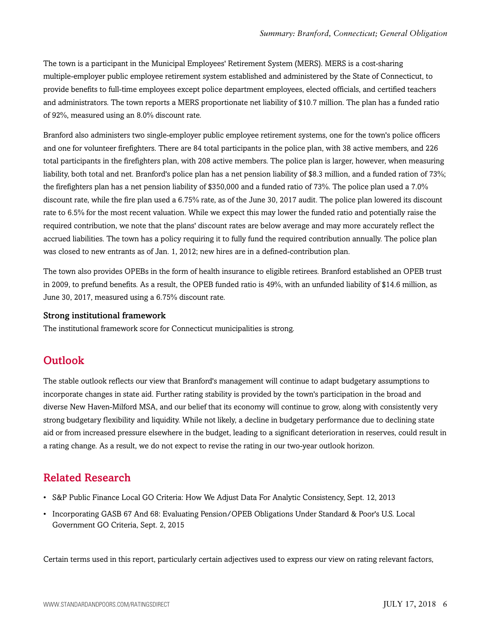The town is a participant in the Municipal Employees' Retirement System (MERS). MERS is a cost-sharing multiple-employer public employee retirement system established and administered by the State of Connecticut, to provide benefits to full-time employees except police department employees, elected officials, and certified teachers and administrators. The town reports a MERS proportionate net liability of \$10.7 million. The plan has a funded ratio of 92%, measured using an 8.0% discount rate.

Branford also administers two single-employer public employee retirement systems, one for the town's police officers and one for volunteer firefighters. There are 84 total participants in the police plan, with 38 active members, and 226 total participants in the firefighters plan, with 208 active members. The police plan is larger, however, when measuring liability, both total and net. Branford's police plan has a net pension liability of \$8.3 million, and a funded ration of 73%; the firefighters plan has a net pension liability of \$350,000 and a funded ratio of 73%. The police plan used a 7.0% discount rate, while the fire plan used a 6.75% rate, as of the June 30, 2017 audit. The police plan lowered its discount rate to 6.5% for the most recent valuation. While we expect this may lower the funded ratio and potentially raise the required contribution, we note that the plans' discount rates are below average and may more accurately reflect the accrued liabilities. The town has a policy requiring it to fully fund the required contribution annually. The police plan was closed to new entrants as of Jan. 1, 2012; new hires are in a defined-contribution plan.

The town also provides OPEBs in the form of health insurance to eligible retirees. Branford established an OPEB trust in 2009, to prefund benefits. As a result, the OPEB funded ratio is 49%, with an unfunded liability of \$14.6 million, as June 30, 2017, measured using a 6.75% discount rate.

#### Strong institutional framework

<span id="page-5-0"></span>The institutional framework score for Connecticut municipalities is strong.

## **Outlook**

The stable outlook reflects our view that Branford's management will continue to adapt budgetary assumptions to incorporate changes in state aid. Further rating stability is provided by the town's participation in the broad and diverse New Haven-Milford MSA, and our belief that its economy will continue to grow, along with consistently very strong budgetary flexibility and liquidity. While not likely, a decline in budgetary performance due to declining state aid or from increased pressure elsewhere in the budget, leading to a significant deterioration in reserves, could result in a rating change. As a result, we do not expect to revise the rating in our two-year outlook horizon.

### <span id="page-5-1"></span>Related Research

- S&P Public Finance Local GO Criteria: How We Adjust Data For Analytic Consistency, Sept. 12, 2013
- Incorporating GASB 67 And 68: Evaluating Pension/OPEB Obligations Under Standard & Poor's U.S. Local Government GO Criteria, Sept. 2, 2015

Certain terms used in this report, particularly certain adjectives used to express our view on rating relevant factors,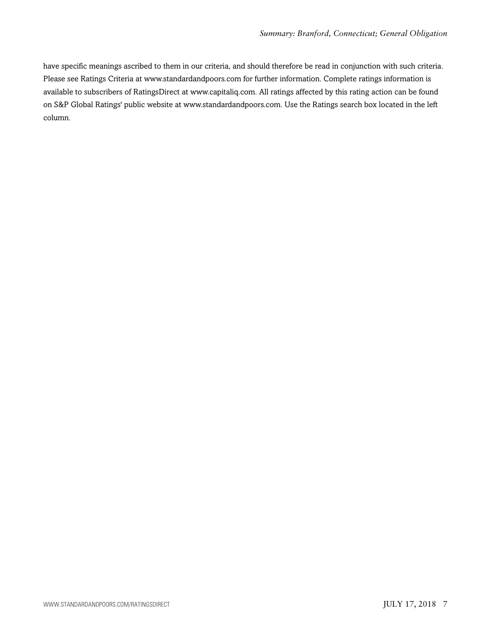have specific meanings ascribed to them in our criteria, and should therefore be read in conjunction with such criteria. Please see Ratings Criteria at www.standardandpoors.com for further information. Complete ratings information is available to subscribers of RatingsDirect at www.capitaliq.com. All ratings affected by this rating action can be found on S&P Global Ratings' public website at www.standardandpoors.com. Use the Ratings search box located in the left column.